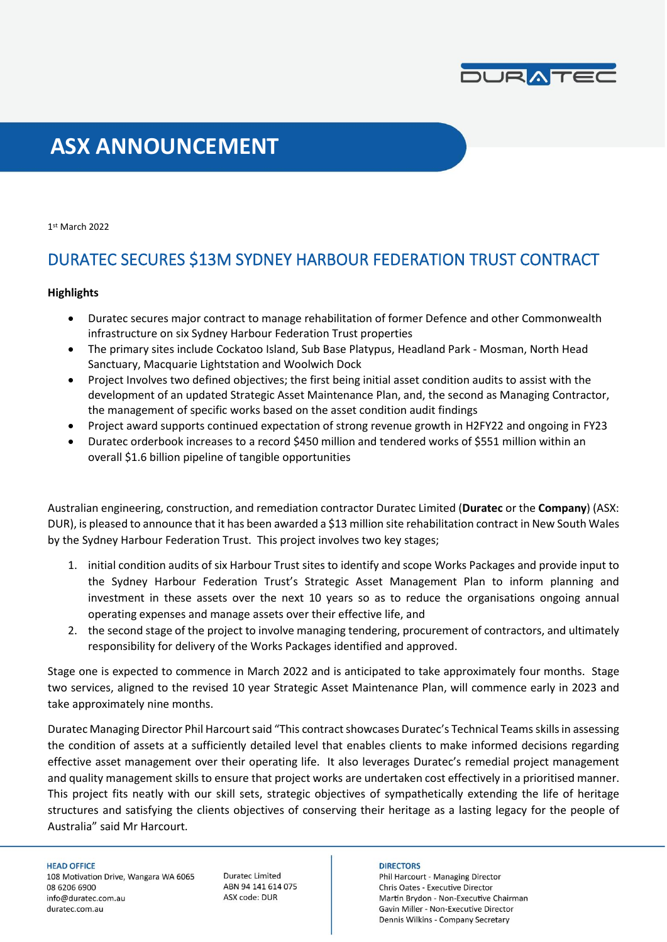

# **ASX ANNOUNCEMENT**

1 st March 2022

# DURATEC SECURES \$13M SYDNEY HARBOUR FEDERATION TRUST CONTRACT

## **Highlights**

- Duratec secures major contract to manage rehabilitation of former Defence and other Commonwealth infrastructure on six Sydney Harbour Federation Trust properties
- The primary sites include Cockatoo Island, Sub Base Platypus, Headland Park Mosman, North Head Sanctuary, Macquarie Lightstation and Woolwich Dock
- Project Involves two defined objectives; the first being initial asset condition audits to assist with the development of an updated Strategic Asset Maintenance Plan, and, the second as Managing Contractor, the management of specific works based on the asset condition audit findings
- Project award supports continued expectation of strong revenue growth in H2FY22 and ongoing in FY23
- Duratec orderbook increases to a record \$450 million and tendered works of \$551 million within an overall \$1.6 billion pipeline of tangible opportunities

Australian engineering, construction, and remediation contractor Duratec Limited (**Duratec** or the **Company**) (ASX: DUR), is pleased to announce that it has been awarded a \$13 million site rehabilitation contract in New South Wales by the Sydney Harbour Federation Trust. This project involves two key stages;

- 1. initial condition audits of six Harbour Trust sites to identify and scope Works Packages and provide input to the Sydney Harbour Federation Trust's Strategic Asset Management Plan to inform planning and investment in these assets over the next 10 years so as to reduce the organisations ongoing annual operating expenses and manage assets over their effective life, and
- 2. the second stage of the project to involve managing tendering, procurement of contractors, and ultimately responsibility for delivery of the Works Packages identified and approved.

Stage one is expected to commence in March 2022 and is anticipated to take approximately four months. Stage two services, aligned to the revised 10 year Strategic Asset Maintenance Plan, will commence early in 2023 and take approximately nine months.

Duratec Managing Director Phil Harcourt said "This contract showcases Duratec's Technical Teams skills in assessing the condition of assets at a sufficiently detailed level that enables clients to make informed decisions regarding effective asset management over their operating life. It also leverages Duratec's remedial project management and quality management skills to ensure that project works are undertaken cost effectively in a prioritised manner. This project fits neatly with our skill sets, strategic objectives of sympathetically extending the life of heritage structures and satisfying the clients objectives of conserving their heritage as a lasting legacy for the people of Australia" said Mr Harcourt.

#### **HEAD OFFICE**

108 Motivation Drive, Wangara WA 6065 08 6206 6900 info@duratec.com.au duratec.com.au

**Duratec Limited** ABN 94 141 614 075 ASX code: DUR

#### **DIRECTORS**

Phil Harcourt - Managing Director Chris Oates - Executive Director Martin Brydon - Non-Executive Chairman Gavin Miller - Non-Executive Director Dennis Wilkins - Company Secretary